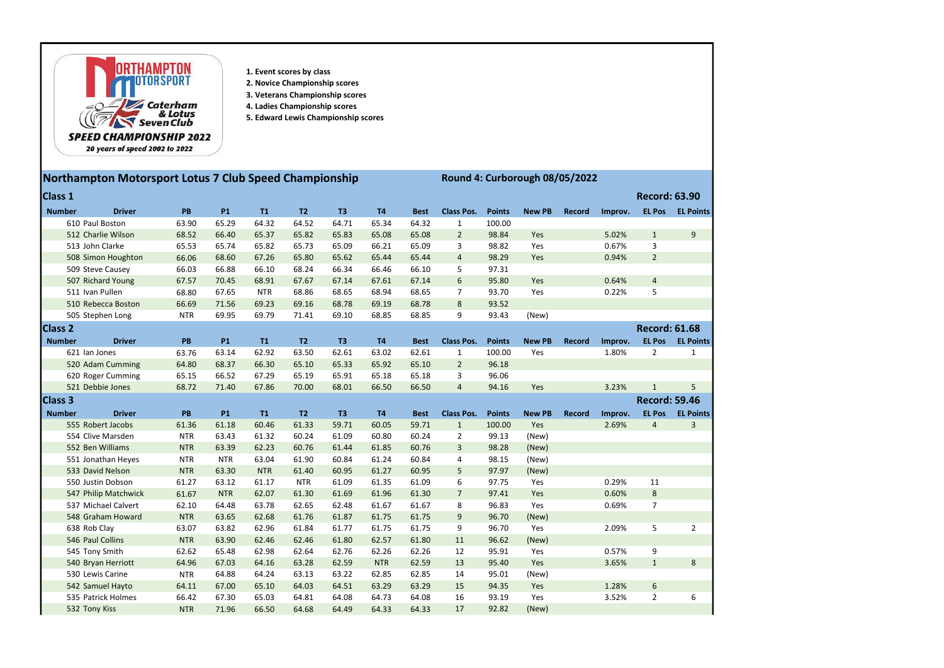

- 1. Event scores by class
- 2. Novice Championship scores
- 3. Veterans Championship scores
- 4. Ladies Championship scores
- 5. Edward Lewis Championship scores

## 20 years of speed 2002 to 2022

## Northampton Motorsport Lotus 7 Club Speed Championship Round 4: Curborough 08/05/2022

| <b>Class 1</b> |                      |            |            |            |                |       |            |             |                   |               |               |               |         | <b>Record: 63.90</b> |                  |
|----------------|----------------------|------------|------------|------------|----------------|-------|------------|-------------|-------------------|---------------|---------------|---------------|---------|----------------------|------------------|
| <b>Number</b>  | <b>Driver</b>        | PB         | <b>P1</b>  | T1         | T <sub>2</sub> | T3    | <b>T4</b>  | <b>Best</b> | <b>Class Pos.</b> | <b>Points</b> | <b>New PB</b> | <b>Record</b> | Improv. | <b>EL Pos</b>        | <b>EL Points</b> |
|                | 610 Paul Boston      | 63.90      | 65.29      | 64.32      | 64.52          | 64.71 | 65.34      | 64.32       | 1                 | 100.00        |               |               |         |                      |                  |
|                | 512 Charlie Wilson   | 68.52      | 66.40      | 65.37      | 65.82          | 65.83 | 65.08      | 65.08       | $\overline{2}$    | 98.84         | Yes           |               | 5.02%   | $\mathbf{1}$         | 9                |
|                | 513 John Clarke      | 65.53      | 65.74      | 65.82      | 65.73          | 65.09 | 66.21      | 65.09       | 3                 | 98.82         | Yes           |               | 0.67%   | 3                    |                  |
|                | 508 Simon Houghton   | 66.06      | 68.60      | 67.26      | 65.80          | 65.62 | 65.44      | 65.44       | $\overline{4}$    | 98.29         | Yes           |               | 0.94%   | $\overline{2}$       |                  |
|                | 509 Steve Causey     | 66.03      | 66.88      | 66.10      | 68.24          | 66.34 | 66.46      | 66.10       | 5                 | 97.31         |               |               |         |                      |                  |
|                | 507 Richard Young    | 67.57      | 70.45      | 68.91      | 67.67          | 67.14 | 67.61      | 67.14       | 6                 | 95.80         | Yes           |               | 0.64%   | $\overline{4}$       |                  |
|                | 511 Ivan Pullen      | 68.80      | 67.65      | <b>NTR</b> | 68.86          | 68.65 | 68.94      | 68.65       | $\overline{7}$    | 93.70         | Yes           |               | 0.22%   | 5                    |                  |
|                | 510 Rebecca Boston   | 66.69      | 71.56      | 69.23      | 69.16          | 68.78 | 69.19      | 68.78       | 8                 | 93.52         |               |               |         |                      |                  |
|                | 505 Stephen Long     | <b>NTR</b> | 69.95      | 69.79      | 71.41          | 69.10 | 68.85      | 68.85       | 9                 | 93.43         | (New)         |               |         |                      |                  |
| <b>Class 2</b> |                      |            |            |            |                |       |            |             |                   |               |               |               |         | <b>Record: 61.68</b> |                  |
| <b>Number</b>  | <b>Driver</b>        | PB         | <b>P1</b>  | T1         | T <sub>2</sub> | T3    | <b>T4</b>  | <b>Best</b> | <b>Class Pos.</b> | <b>Points</b> | <b>New PB</b> | <b>Record</b> | Improv. | <b>EL Pos</b>        | <b>EL Points</b> |
|                | 621 Ian Jones        | 63.76      | 63.14      | 62.92      | 63.50          | 62.61 | 63.02      | 62.61       | $\mathbf{1}$      | 100.00        | Yes           |               | 1.80%   | $\overline{2}$       | $\mathbf{1}$     |
|                | 520 Adam Cumming     | 64.80      | 68.37      | 66.30      | 65.10          | 65.33 | 65.92      | 65.10       | $\overline{2}$    | 96.18         |               |               |         |                      |                  |
|                | 620 Roger Cumming    | 65.15      | 66.52      | 67.29      | 65.19          | 65.91 | 65.18      | 65.18       | 3                 | 96.06         |               |               |         |                      |                  |
|                | 521 Debbie Jones     | 68.72      | 71.40      | 67.86      | 70.00          | 68.01 | 66.50      | 66.50       | $\overline{4}$    | 94.16         | Yes           |               | 3.23%   | $\mathbf{1}$         | 5                |
| <b>Class 3</b> |                      |            |            |            |                |       |            |             |                   |               |               |               |         | <b>Record: 59.46</b> |                  |
| <b>Number</b>  | <b>Driver</b>        | PB         | <b>P1</b>  | T1         | T <sub>2</sub> | T3    | <b>T4</b>  | <b>Best</b> | <b>Class Pos.</b> | <b>Points</b> | <b>New PB</b> | <b>Record</b> | Improv. | <b>EL Pos</b>        | <b>EL Points</b> |
|                | 555 Robert Jacobs    | 61.36      | 61.18      | 60.46      | 61.33          | 59.71 | 60.05      | 59.71       | $\mathbf{1}$      | 100.00        | Yes           |               | 2.69%   | $\overline{4}$       | $\overline{3}$   |
|                | 554 Clive Marsden    | <b>NTR</b> | 63.43      | 61.32      | 60.24          | 61.09 | 60.80      | 60.24       | $\overline{2}$    | 99.13         | (New)         |               |         |                      |                  |
|                | 552 Ben Williams     | <b>NTR</b> | 63.39      | 62.23      | 60.76          | 61.44 | 61.85      | 60.76       | 3                 | 98.28         | (New)         |               |         |                      |                  |
|                | 551 Jonathan Heyes   | <b>NTR</b> | <b>NTR</b> | 63.04      | 61.90          | 60.84 | 61.24      | 60.84       | 4                 | 98.15         | (New)         |               |         |                      |                  |
|                | 533 David Nelson     | <b>NTR</b> | 63.30      | <b>NTR</b> | 61.40          | 60.95 | 61.27      | 60.95       | 5                 | 97.97         | (New)         |               |         |                      |                  |
|                | 550 Justin Dobson    | 61.27      | 63.12      | 61.17      | <b>NTR</b>     | 61.09 | 61.35      | 61.09       | 6                 | 97.75         | Yes           |               | 0.29%   | 11                   |                  |
|                | 547 Philip Matchwick | 61.67      | <b>NTR</b> | 62.07      | 61.30          | 61.69 | 61.96      | 61.30       | $\overline{7}$    | 97.41         | Yes           |               | 0.60%   | 8                    |                  |
|                | 537 Michael Calvert  | 62.10      | 64.48      | 63.78      | 62.65          | 62.48 | 61.67      | 61.67       | 8                 | 96.83         | Yes           |               | 0.69%   | $\overline{7}$       |                  |
|                | 548 Graham Howard    | <b>NTR</b> | 63.65      | 62.68      | 61.76          | 61.87 | 61.75      | 61.75       | 9                 | 96.70         | (New)         |               |         |                      |                  |
|                | 638 Rob Clay         | 63.07      | 63.82      | 62.96      | 61.84          | 61.77 | 61.75      | 61.75       | 9                 | 96.70         | Yes           |               | 2.09%   | 5                    | $\overline{2}$   |
|                | 546 Paul Collins     | <b>NTR</b> | 63.90      | 62.46      | 62.46          | 61.80 | 62.57      | 61.80       | 11                | 96.62         | (New)         |               |         |                      |                  |
|                | 545 Tony Smith       | 62.62      | 65.48      | 62.98      | 62.64          | 62.76 | 62.26      | 62.26       | 12                | 95.91         | Yes           |               | 0.57%   | 9                    |                  |
|                | 540 Bryan Herriott   | 64.96      | 67.03      | 64.16      | 63.28          | 62.59 | <b>NTR</b> | 62.59       | 13                | 95.40         | Yes           |               | 3.65%   | $\mathbf{1}$         | 8                |
|                | 530 Lewis Carine     | <b>NTR</b> | 64.88      | 64.24      | 63.13          | 63.22 | 62.85      | 62.85       | 14                | 95.01         | (New)         |               |         |                      |                  |
|                | 542 Samuel Hayto     | 64.11      | 67.00      | 65.10      | 64.03          | 64.51 | 63.29      | 63.29       | 15                | 94.35         | Yes           |               | 1.28%   | $\boldsymbol{6}$     |                  |
|                | 535 Patrick Holmes   | 66.42      | 67.30      | 65.03      | 64.81          | 64.08 | 64.73      | 64.08       | 16                | 93.19         | Yes           |               | 3.52%   | $\overline{2}$       | 6                |
|                | 532 Tony Kiss        | <b>NTR</b> | 71.96      | 66.50      | 64.68          | 64.49 | 64.33      | 64.33       | 17                | 92.82         | (New)         |               |         |                      |                  |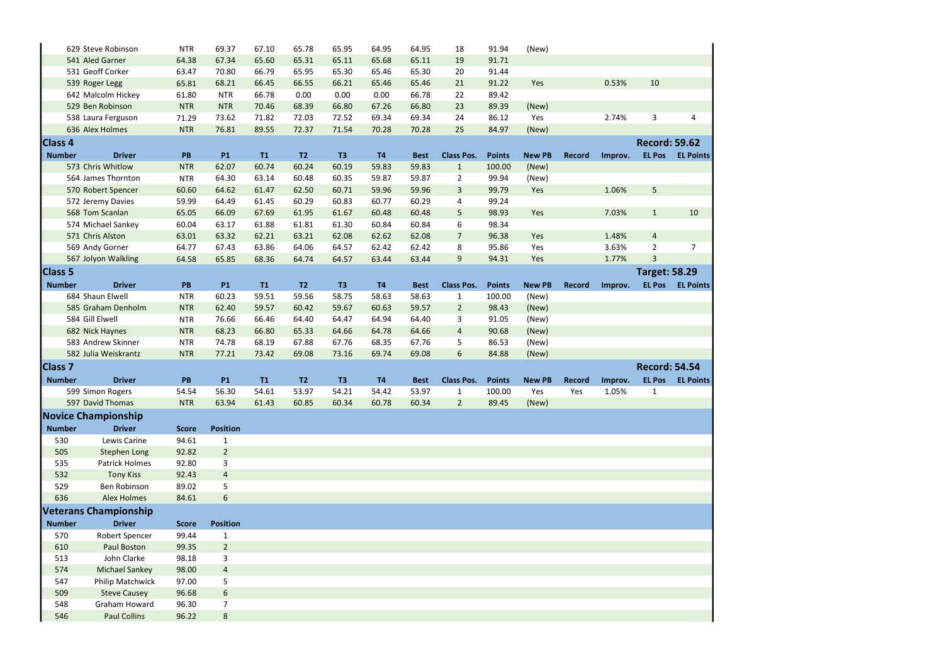|                | 629 Steve Robinson               | <b>NTR</b>     | 69.37                | 67.10 | 65.78          | 65.95          | 64.95     | 64.95       | 18                | 91.94         | (New)         |               |         |                      |                  |
|----------------|----------------------------------|----------------|----------------------|-------|----------------|----------------|-----------|-------------|-------------------|---------------|---------------|---------------|---------|----------------------|------------------|
|                | 541 Aled Garner                  | 64.38          | 67.34                | 65.60 | 65.31          | 65.11          | 65.68     | 65.11       | 19                | 91.71         |               |               |         |                      |                  |
|                | 531 Geoff Corker                 | 63.47          | 70.80                | 66.79 | 65.95          | 65.30          | 65.46     | 65.30       | 20                | 91.44         |               |               |         |                      |                  |
|                | 539 Roger Legg                   | 65.81          | 68.21                | 66.45 | 66.55          | 66.21          | 65.46     | 65.46       | 21                | 91.22         | Yes           |               | 0.53%   | 10                   |                  |
|                | 642 Malcolm Hickey               | 61.80          | <b>NTR</b>           | 66.78 | 0.00           | 0.00           | 0.00      | 66.78       | 22                | 89.42         |               |               |         |                      |                  |
|                | 529 Ben Robinson                 | <b>NTR</b>     | <b>NTR</b>           | 70.46 | 68.39          | 66.80          | 67.26     | 66.80       | 23                | 89.39         | (New)         |               |         |                      |                  |
|                | 538 Laura Ferguson               | 71.29          | 73.62                | 71.82 | 72.03          | 72.52          | 69.34     | 69.34       | 24                | 86.12         | Yes           |               | 2.74%   | 3                    | 4                |
|                | 636 Alex Holmes                  | <b>NTR</b>     | 76.81                | 89.55 | 72.37          | 71.54          | 70.28     | 70.28       | 25                | 84.97         | (New)         |               |         |                      |                  |
| <b>Class 4</b> |                                  |                |                      |       |                |                |           |             |                   |               |               |               |         | <b>Record: 59.62</b> |                  |
| <b>Number</b>  | <b>Driver</b>                    | PB             | <b>P1</b>            | T1    | T2             | T <sub>3</sub> | <b>T4</b> | <b>Best</b> | <b>Class Pos.</b> | <b>Points</b> | <b>New PB</b> | <b>Record</b> | Improv. | <b>EL Pos</b>        | <b>EL Points</b> |
|                | 573 Chris Whitlow                | <b>NTR</b>     | 62.07                | 60.74 | 60.24          | 60.19          | 59.83     | 59.83       | $\mathbf{1}$      | 100.00        | (New)         |               |         |                      |                  |
|                | 564 James Thornton               | <b>NTR</b>     | 64.30                | 63.14 | 60.48          | 60.35          | 59.87     | 59.87       | $\overline{2}$    | 99.94         | (New)         |               |         |                      |                  |
|                | 570 Robert Spencer               | 60.60          | 64.62                | 61.47 | 62.50          | 60.71          | 59.96     | 59.96       | $\mathbf{3}$      | 99.79         | Yes           |               | 1.06%   | 5                    |                  |
|                | 572 Jeremy Davies                | 59.99          | 64.49                | 61.45 | 60.29          | 60.83          | 60.77     | 60.29       | 4                 | 99.24         |               |               |         |                      |                  |
|                | 568 Tom Scanlan                  | 65.05          | 66.09                | 67.69 | 61.95          | 61.67          | 60.48     | 60.48       | 5                 | 98.93         | Yes           |               | 7.03%   | $\mathbf{1}$         | 10               |
|                | 574 Michael Sankey               | 60.04          | 63.17                | 61.88 | 61.81          | 61.30          | 60.84     | 60.84       | 6                 | 98.34         |               |               |         |                      |                  |
|                | 571 Chris Alston                 | 63.01          | 63.32                | 62.21 | 63.21          | 62.08          | 62.62     | 62.08       | $\overline{7}$    | 96.38         | Yes           |               | 1.48%   | $\overline{a}$       |                  |
|                | 569 Andy Gorner                  | 64.77          | 67.43                | 63.86 | 64.06          | 64.57          | 62.42     | 62.42       | 8                 | 95.86         | Yes           |               | 3.63%   | $\overline{2}$       | $\overline{7}$   |
|                | 567 Jolyon Walkling              | 64.58          | 65.85                | 68.36 | 64.74          | 64.57          | 63.44     | 63.44       | 9                 | 94.31         | Yes           |               | 1.77%   | 3                    |                  |
| <b>Class 5</b> |                                  |                |                      |       |                |                |           |             |                   |               |               |               |         | <b>Target: 58.29</b> |                  |
| <b>Number</b>  | <b>Driver</b>                    | PB             | <b>P1</b>            | T1    | T2             | T <sub>3</sub> | <b>T4</b> | <b>Best</b> | <b>Class Pos.</b> | <b>Points</b> | <b>New PB</b> | Record        | Improv. | <b>EL Pos</b>        | <b>EL Points</b> |
|                | 684 Shaun Elwell                 | <b>NTR</b>     | 60.23                | 59.51 | 59.56          | 58.75          | 58.63     | 58.63       | $\mathbf{1}$      | 100.00        | (New)         |               |         |                      |                  |
|                | 585 Graham Denholm               | <b>NTR</b>     | 62.40                | 59.57 | 60.42          | 59.67          | 60.63     | 59.57       | $\overline{2}$    | 98.43         | (New)         |               |         |                      |                  |
|                | 584 Gill Elwell                  | <b>NTR</b>     | 76.66                | 66.46 | 64.40          | 64.47          | 64.94     | 64.40       | 3                 | 91.05         | (New)         |               |         |                      |                  |
|                | 682 Nick Haynes                  | <b>NTR</b>     | 68.23                | 66.80 | 65.33          | 64.66          | 64.78     | 64.66       | $\overline{4}$    | 90.68         | (New)         |               |         |                      |                  |
|                | 583 Andrew Skinner               | <b>NTR</b>     | 74.78                | 68.19 | 67.88          | 67.76          | 68.35     | 67.76       | 5                 | 86.53         | (New)         |               |         |                      |                  |
|                | 582 Julia Weiskrantz             | <b>NTR</b>     | 77.21                | 73.42 | 69.08          | 73.16          | 69.74     | 69.08       | 6                 | 84.88         | (New)         |               |         |                      |                  |
| <b>Class 7</b> |                                  |                |                      |       |                |                |           |             |                   |               |               |               |         | <b>Record: 54.54</b> |                  |
| <b>Number</b>  | <b>Driver</b>                    | PB             | <b>P1</b>            | T1    | T <sub>2</sub> | T <sub>3</sub> | <b>T4</b> | <b>Best</b> | <b>Class Pos.</b> | <b>Points</b> | <b>New PB</b> | <b>Record</b> | Improv. | <b>EL Pos</b>        | <b>EL Points</b> |
|                | 599 Simon Rogers                 | 54.54          | 56.30                | 54.61 | 53.97          | 54.21          | 54.42     | 53.97       | $\mathbf{1}$      | 100.00        | Yes           | Yes           | 1.05%   | $\mathbf{1}$         |                  |
|                | 597 David Thomas                 | <b>NTR</b>     | 63.94                | 61.43 | 60.85          | 60.34          | 60.78     | 60.34       | $\overline{2}$    | 89.45         | (New)         |               |         |                      |                  |
|                |                                  |                |                      |       |                |                |           |             |                   |               |               |               |         |                      |                  |
|                | <b>Novice Championship</b>       |                |                      |       |                |                |           |             |                   |               |               |               |         |                      |                  |
| <b>Number</b>  | <b>Driver</b>                    | <b>Score</b>   | <b>Position</b>      |       |                |                |           |             |                   |               |               |               |         |                      |                  |
| 530            | Lewis Carine                     | 94.61          | 1                    |       |                |                |           |             |                   |               |               |               |         |                      |                  |
| 505            | <b>Stephen Long</b>              | 92.82          | $\overline{2}$       |       |                |                |           |             |                   |               |               |               |         |                      |                  |
| 535            | Patrick Holmes                   | 92.80          | 3                    |       |                |                |           |             |                   |               |               |               |         |                      |                  |
| 532            | <b>Tony Kiss</b><br>Ben Robinson | 92.43          | $\overline{4}$       |       |                |                |           |             |                   |               |               |               |         |                      |                  |
| 529<br>636     | <b>Alex Holmes</b>               | 89.02<br>84.61 | 5<br>$6\phantom{1}6$ |       |                |                |           |             |                   |               |               |               |         |                      |                  |
|                |                                  |                |                      |       |                |                |           |             |                   |               |               |               |         |                      |                  |
|                | <b>Veterans Championship</b>     |                |                      |       |                |                |           |             |                   |               |               |               |         |                      |                  |
| <b>Number</b>  | <b>Driver</b>                    | <b>Score</b>   | <b>Position</b>      |       |                |                |           |             |                   |               |               |               |         |                      |                  |
| 570            | Robert Spencer                   | 99.44          | 1                    |       |                |                |           |             |                   |               |               |               |         |                      |                  |
| 610            | <b>Paul Boston</b>               | 99.35          | $\overline{2}$       |       |                |                |           |             |                   |               |               |               |         |                      |                  |
| 513            | John Clarke                      | 98.18          | 3                    |       |                |                |           |             |                   |               |               |               |         |                      |                  |
| 574            | <b>Michael Sankey</b>            | 98.00          | $\overline{4}$       |       |                |                |           |             |                   |               |               |               |         |                      |                  |
| 547            | Philip Matchwick                 | 97.00          | 5                    |       |                |                |           |             |                   |               |               |               |         |                      |                  |
| 509            | <b>Steve Causey</b>              | 96.68          | 6                    |       |                |                |           |             |                   |               |               |               |         |                      |                  |
| 548            | Graham Howard                    | 96.30          | $\overline{7}$       |       |                |                |           |             |                   |               |               |               |         |                      |                  |
| 546            | <b>Paul Collins</b>              | 96.22          | $\bf 8$              |       |                |                |           |             |                   |               |               |               |         |                      |                  |